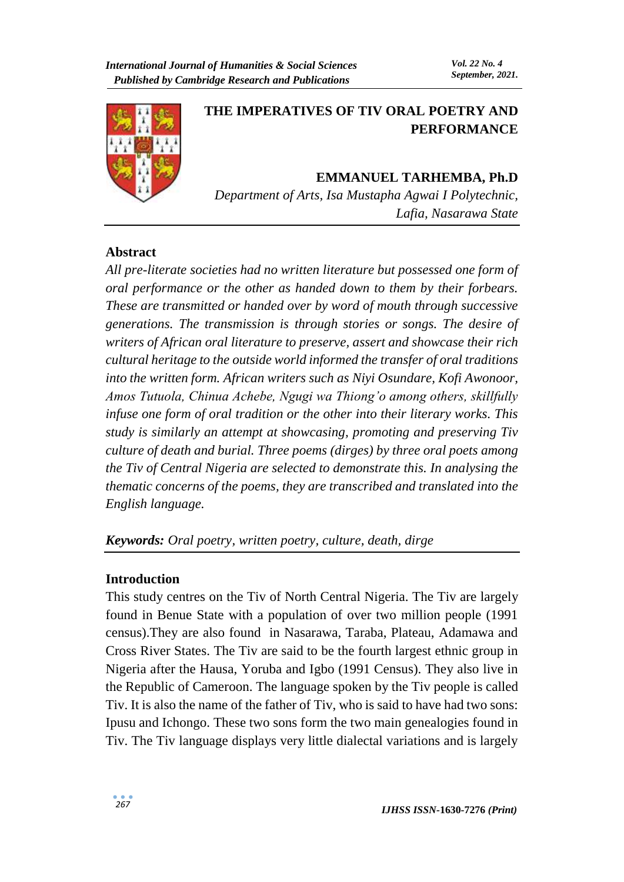

# **THE IMPERATIVES OF TIV ORAL POETRY AND PERFORMANCE**

# **EMMANUEL TARHEMBA, Ph.D**

*Department of Arts, Isa Mustapha Agwai I Polytechnic, Lafia, Nasarawa State*

# **Abstract**

*All pre-literate societies had no written literature but possessed one form of oral performance or the other as handed down to them by their forbears. These are transmitted or handed over by word of mouth through successive generations. The transmission is through stories or songs. The desire of writers of African oral literature to preserve, assert and showcase their rich cultural heritage to the outside world informed the transfer of oral traditions into the written form. African writers such as Niyi Osundare, Kofi Awonoor, Amos Tutuola, Chinua Achebe, Ngugi wa Thiong'o among others, skillfully infuse one form of oral tradition or the other into their literary works. This study is similarly an attempt at showcasing, promoting and preserving Tiv culture of death and burial. Three poems (dirges) by three oral poets among the Tiv of Central Nigeria are selected to demonstrate this. In analysing the thematic concerns of the poems, they are transcribed and translated into the English language.*

*Keywords: Oral poetry, written poetry, culture, death, dirge*

# **Introduction**

This study centres on the Tiv of North Central Nigeria. The Tiv are largely found in Benue State with a population of over two million people (1991 census).They are also found in Nasarawa, Taraba, Plateau, Adamawa and Cross River States. The Tiv are said to be the fourth largest ethnic group in Nigeria after the Hausa, Yoruba and Igbo (1991 Census). They also live in the Republic of Cameroon. The language spoken by the Tiv people is called Tiv. It is also the name of the father of Tiv, who is said to have had two sons: Ipusu and Ichongo. These two sons form the two main genealogies found in Tiv. The Tiv language displays very little dialectal variations and is largely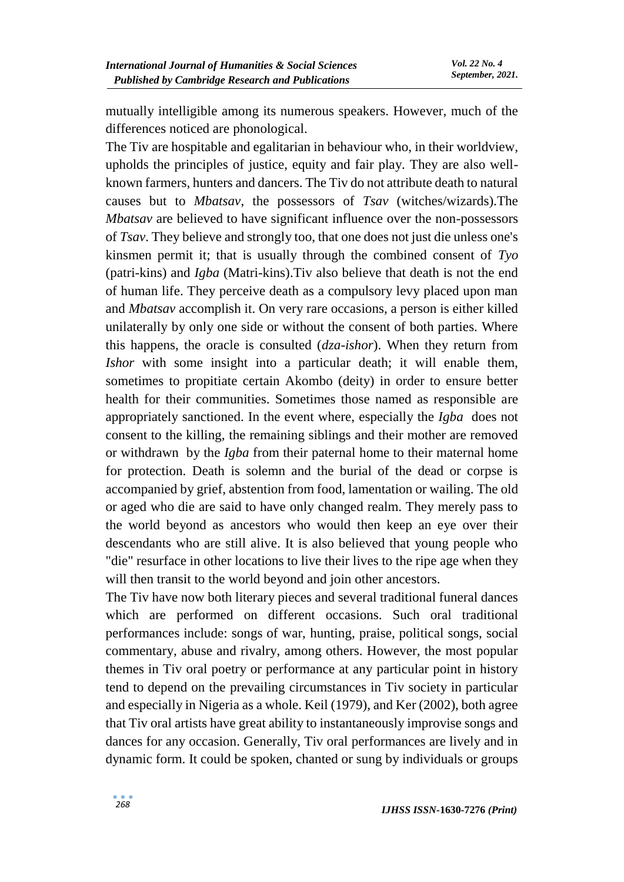mutually intelligible among its numerous speakers. However, much of the differences noticed are phonological.

The Tiv are hospitable and egalitarian in behaviour who, in their worldview, upholds the principles of justice, equity and fair play. They are also wellknown farmers, hunters and dancers. The Tiv do not attribute death to natural causes but to *Mbatsav*, the possessors of *Tsav* (witches/wizards).The *Mbatsav* are believed to have significant influence over the non-possessors of *Tsav*. They believe and strongly too, that one does not just die unless one's kinsmen permit it; that is usually through the combined consent of *Tyo* (patri-kins) and *Igba* (Matri-kins).Tiv also believe that death is not the end of human life. They perceive death as a compulsory levy placed upon man and *Mbatsav* accomplish it. On very rare occasions, a person is either killed unilaterally by only one side or without the consent of both parties. Where this happens, the oracle is consulted (*dza-ishor*). When they return from *Ishor* with some insight into a particular death; it will enable them, sometimes to propitiate certain Akombo (deity) in order to ensure better health for their communities. Sometimes those named as responsible are appropriately sanctioned. In the event where, especially the *Igba* does not consent to the killing, the remaining siblings and their mother are removed or withdrawn by the *Igba* from their paternal home to their maternal home for protection. Death is solemn and the burial of the dead or corpse is accompanied by grief, abstention from food, lamentation or wailing. The old or aged who die are said to have only changed realm. They merely pass to the world beyond as ancestors who would then keep an eye over their descendants who are still alive. It is also believed that young people who "die" resurface in other locations to live their lives to the ripe age when they will then transit to the world beyond and join other ancestors.

The Tiv have now both literary pieces and several traditional funeral dances which are performed on different occasions. Such oral traditional performances include: songs of war, hunting, praise, political songs, social commentary, abuse and rivalry, among others. However, the most popular themes in Tiv oral poetry or performance at any particular point in history tend to depend on the prevailing circumstances in Tiv society in particular and especially in Nigeria as a whole. Keil (1979), and Ker (2002), both agree that Tiv oral artists have great ability to instantaneously improvise songs and dances for any occasion. Generally, Tiv oral performances are lively and in dynamic form. It could be spoken, chanted or sung by individuals or groups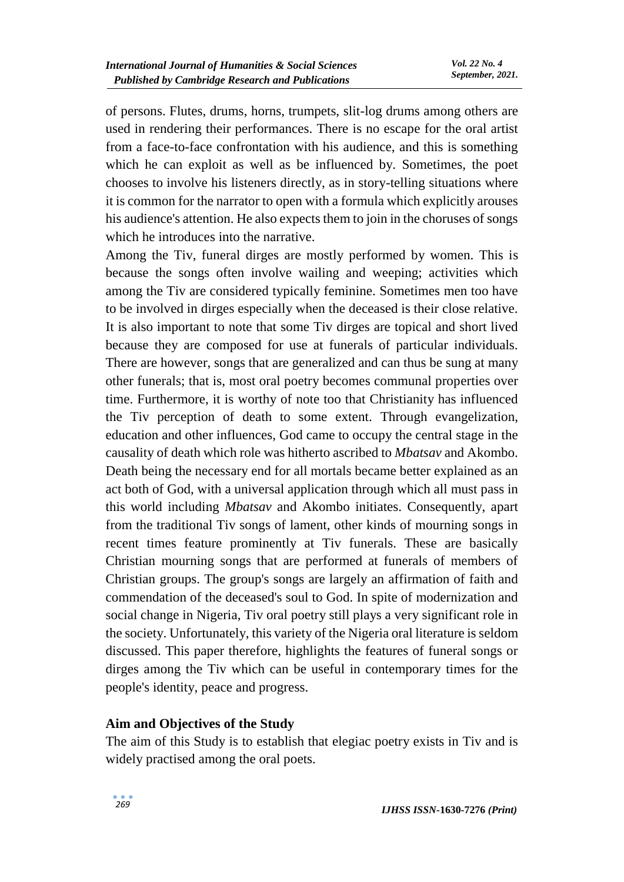of persons. Flutes, drums, horns, trumpets, slit-log drums among others are used in rendering their performances. There is no escape for the oral artist from a face-to-face confrontation with his audience, and this is something which he can exploit as well as be influenced by. Sometimes, the poet chooses to involve his listeners directly, as in story-telling situations where it is common for the narrator to open with a formula which explicitly arouses his audience's attention. He also expects them to join in the choruses of songs which he introduces into the narrative.

Among the Tiv, funeral dirges are mostly performed by women. This is because the songs often involve wailing and weeping; activities which among the Tiv are considered typically feminine. Sometimes men too have to be involved in dirges especially when the deceased is their close relative. It is also important to note that some Tiv dirges are topical and short lived because they are composed for use at funerals of particular individuals. There are however, songs that are generalized and can thus be sung at many other funerals; that is, most oral poetry becomes communal properties over time. Furthermore, it is worthy of note too that Christianity has influenced the Tiv perception of death to some extent. Through evangelization, education and other influences, God came to occupy the central stage in the causality of death which role was hitherto ascribed to *Mbatsav* and Akombo. Death being the necessary end for all mortals became better explained as an act both of God, with a universal application through which all must pass in this world including *Mbatsav* and Akombo initiates. Consequently, apart from the traditional Tiv songs of lament, other kinds of mourning songs in recent times feature prominently at Tiv funerals. These are basically Christian mourning songs that are performed at funerals of members of Christian groups. The group's songs are largely an affirmation of faith and commendation of the deceased's soul to God. In spite of modernization and social change in Nigeria, Tiv oral poetry still plays a very significant role in the society. Unfortunately, this variety of the Nigeria oral literature is seldom discussed. This paper therefore, highlights the features of funeral songs or dirges among the Tiv which can be useful in contemporary times for the people's identity, peace and progress.

#### **Aim and Objectives of the Study**

The aim of this Study is to establish that elegiac poetry exists in Tiv and is widely practised among the oral poets.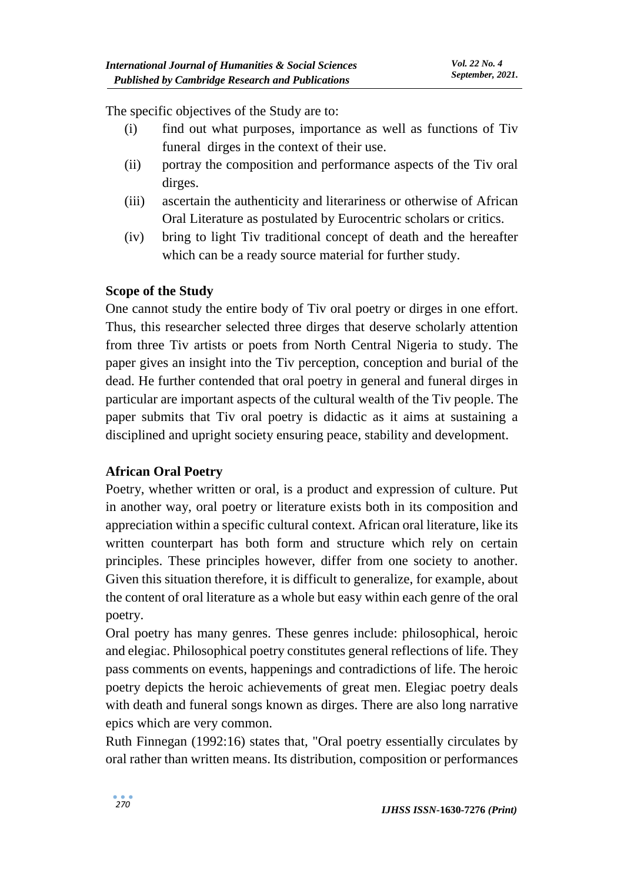The specific objectives of the Study are to:

- (i) find out what purposes, importance as well as functions of Tiv funeral dirges in the context of their use.
- (ii) portray the composition and performance aspects of the Tiv oral dirges.
- (iii) ascertain the authenticity and literariness or otherwise of African Oral Literature as postulated by Eurocentric scholars or critics.
- (iv) bring to light Tiv traditional concept of death and the hereafter which can be a ready source material for further study.

# **Scope of the Study**

One cannot study the entire body of Tiv oral poetry or dirges in one effort. Thus, this researcher selected three dirges that deserve scholarly attention from three Tiv artists or poets from North Central Nigeria to study. The paper gives an insight into the Tiv perception, conception and burial of the dead. He further contended that oral poetry in general and funeral dirges in particular are important aspects of the cultural wealth of the Tiv people. The paper submits that Tiv oral poetry is didactic as it aims at sustaining a disciplined and upright society ensuring peace, stability and development.

# **African Oral Poetry**

Poetry, whether written or oral, is a product and expression of culture. Put in another way, oral poetry or literature exists both in its composition and appreciation within a specific cultural context. African oral literature, like its written counterpart has both form and structure which rely on certain principles. These principles however, differ from one society to another. Given this situation therefore, it is difficult to generalize, for example, about the content of oral literature as a whole but easy within each genre of the oral poetry.

Oral poetry has many genres. These genres include: philosophical, heroic and elegiac. Philosophical poetry constitutes general reflections of life. They pass comments on events, happenings and contradictions of life. The heroic poetry depicts the heroic achievements of great men. Elegiac poetry deals with death and funeral songs known as dirges. There are also long narrative epics which are very common.

Ruth Finnegan (1992:16) states that, "Oral poetry essentially circulates by oral rather than written means. Its distribution, composition or performances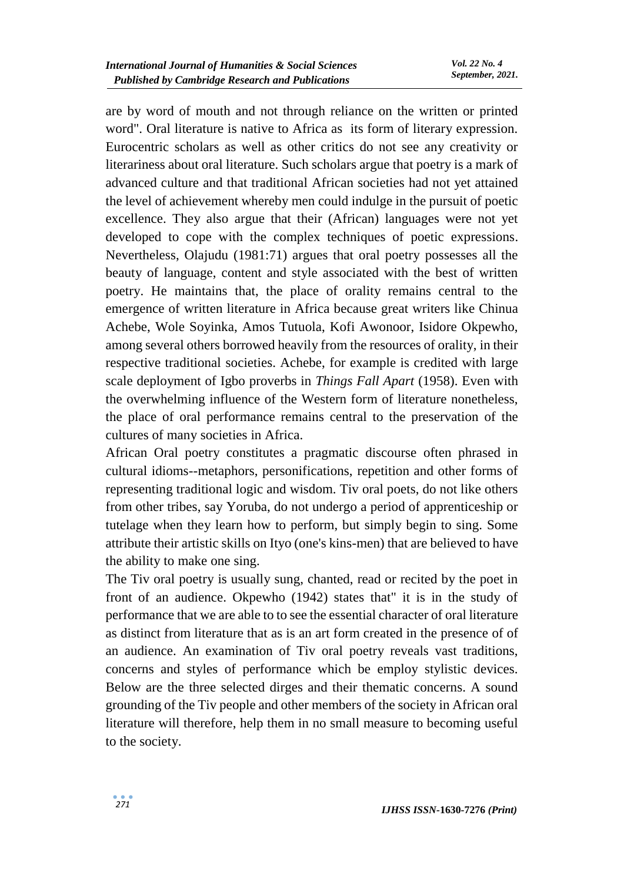are by word of mouth and not through reliance on the written or printed word". Oral literature is native to Africa as its form of literary expression. Eurocentric scholars as well as other critics do not see any creativity or literariness about oral literature. Such scholars argue that poetry is a mark of advanced culture and that traditional African societies had not yet attained the level of achievement whereby men could indulge in the pursuit of poetic excellence. They also argue that their (African) languages were not yet developed to cope with the complex techniques of poetic expressions. Nevertheless, Olajudu (1981:71) argues that oral poetry possesses all the beauty of language, content and style associated with the best of written poetry. He maintains that, the place of orality remains central to the emergence of written literature in Africa because great writers like Chinua Achebe, Wole Soyinka, Amos Tutuola, Kofi Awonoor, Isidore Okpewho, among several others borrowed heavily from the resources of orality, in their respective traditional societies. Achebe, for example is credited with large scale deployment of Igbo proverbs in *Things Fall Apart* (1958). Even with the overwhelming influence of the Western form of literature nonetheless, the place of oral performance remains central to the preservation of the cultures of many societies in Africa.

African Oral poetry constitutes a pragmatic discourse often phrased in cultural idioms--metaphors, personifications, repetition and other forms of representing traditional logic and wisdom. Tiv oral poets, do not like others from other tribes, say Yoruba, do not undergo a period of apprenticeship or tutelage when they learn how to perform, but simply begin to sing. Some attribute their artistic skills on Ityo (one's kins-men) that are believed to have the ability to make one sing.

The Tiv oral poetry is usually sung, chanted, read or recited by the poet in front of an audience. Okpewho (1942) states that" it is in the study of performance that we are able to to see the essential character of oral literature as distinct from literature that as is an art form created in the presence of of an audience. An examination of Tiv oral poetry reveals vast traditions, concerns and styles of performance which be employ stylistic devices. Below are the three selected dirges and their thematic concerns. A sound grounding of the Tiv people and other members of the society in African oral literature will therefore, help them in no small measure to becoming useful to the society.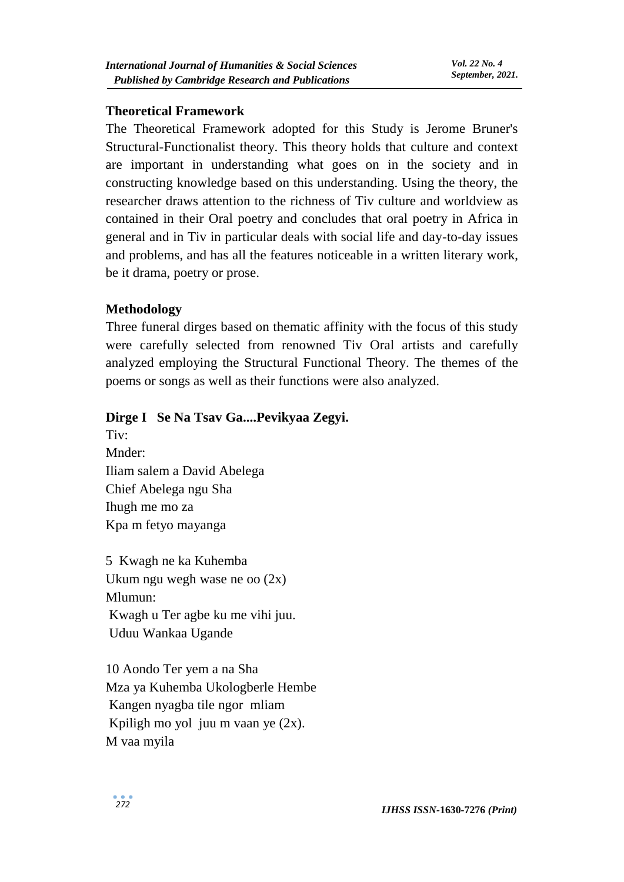#### **Theoretical Framework**

The Theoretical Framework adopted for this Study is Jerome Bruner's Structural-Functionalist theory. This theory holds that culture and context are important in understanding what goes on in the society and in constructing knowledge based on this understanding. Using the theory, the researcher draws attention to the richness of Tiv culture and worldview as contained in their Oral poetry and concludes that oral poetry in Africa in general and in Tiv in particular deals with social life and day-to-day issues and problems, and has all the features noticeable in a written literary work, be it drama, poetry or prose.

### **Methodology**

Three funeral dirges based on thematic affinity with the focus of this study were carefully selected from renowned Tiv Oral artists and carefully analyzed employing the Structural Functional Theory. The themes of the poems or songs as well as their functions were also analyzed.

### **Dirge I Se Na Tsav Ga....Pevikyaa Zegyi.**

Tiv: Mnder: Iliam salem a David Abelega Chief Abelega ngu Sha Ihugh me mo za Kpa m fetyo mayanga

5 Kwagh ne ka Kuhemba Ukum ngu wegh wase ne oo (2x) Mlumun: Kwagh u Ter agbe ku me vihi juu. Uduu Wankaa Ugande

10 Aondo Ter yem a na Sha Mza ya Kuhemba Ukologberle Hembe Kangen nyagba tile ngor mliam Kpiligh mo yol juu m vaan ye (2x). M vaa myila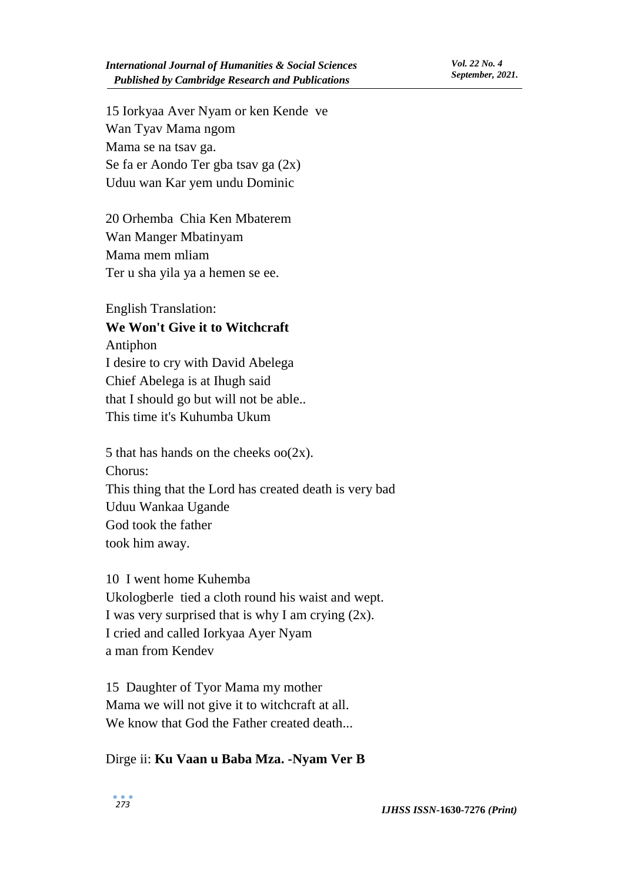15 Iorkyaa Aver Nyam or ken Kende ve Wan Tyav Mama ngom Mama se na tsav ga. Se fa er Aondo Ter gba tsav ga (2x) Uduu wan Kar yem undu Dominic

20 Orhemba Chia Ken Mbaterem Wan Manger Mbatinyam Mama mem mliam Ter u sha yila ya a hemen se ee.

English Translation:

# **We Won't Give it to Witchcraft**

Antiphon

I desire to cry with David Abelega Chief Abelega is at Ihugh said that I should go but will not be able.. This time it's Kuhumba Ukum

5 that has hands on the cheeks  $oo(2x)$ . Chorus: This thing that the Lord has created death is very bad Uduu Wankaa Ugande God took the father took him away.

10 I went home Kuhemba Ukologberle tied a cloth round his waist and wept. I was very surprised that is why I am crying  $(2x)$ . I cried and called Iorkyaa Ayer Nyam a man from Kendev

15 Daughter of Tyor Mama my mother Mama we will not give it to witchcraft at all. We know that God the Father created death...

#### Dirge ii: **Ku Vaan u Baba Mza. -Nyam Ver B**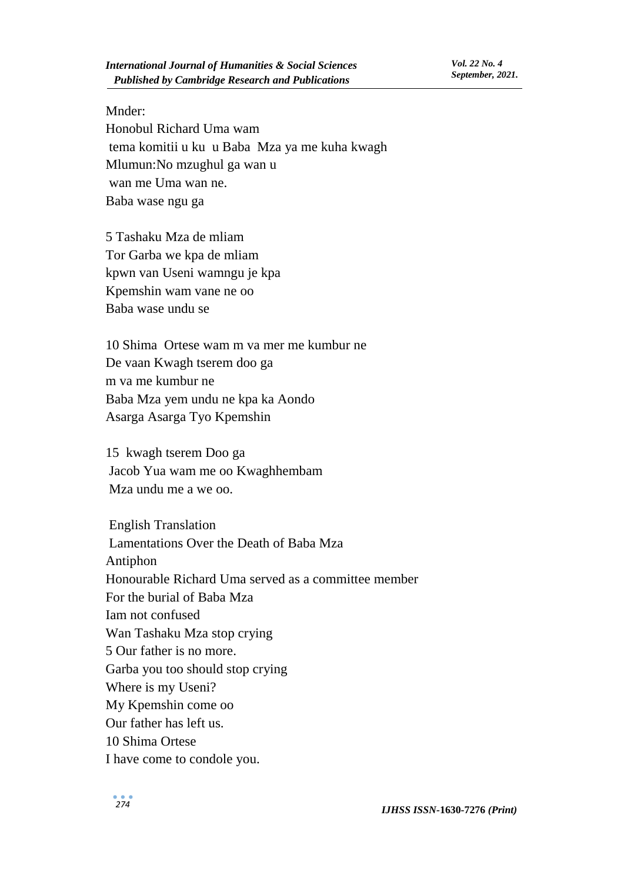#### Mnder:

Honobul Richard Uma wam tema komitii u ku u Baba Mza ya me kuha kwagh Mlumun:No mzughul ga wan u wan me Uma wan ne. Baba wase ngu ga

5 Tashaku Mza de mliam Tor Garba we kpa de mliam kpwn van Useni wamngu je kpa Kpemshin wam vane ne oo Baba wase undu se

10 Shima Ortese wam m va mer me kumbur ne De vaan Kwagh tserem doo ga m va me kumbur ne Baba Mza yem undu ne kpa ka Aondo Asarga Asarga Tyo Kpemshin

15 kwagh tserem Doo ga Jacob Yua wam me oo Kwaghhembam Mza undu me a we oo.

English Translation Lamentations Over the Death of Baba Mza Antiphon Honourable Richard Uma served as a committee member For the burial of Baba Mza Iam not confused Wan Tashaku Mza stop crying 5 Our father is no more. Garba you too should stop crying Where is my Useni? My Kpemshin come oo Our father has left us. 10 Shima Ortese I have come to condole you.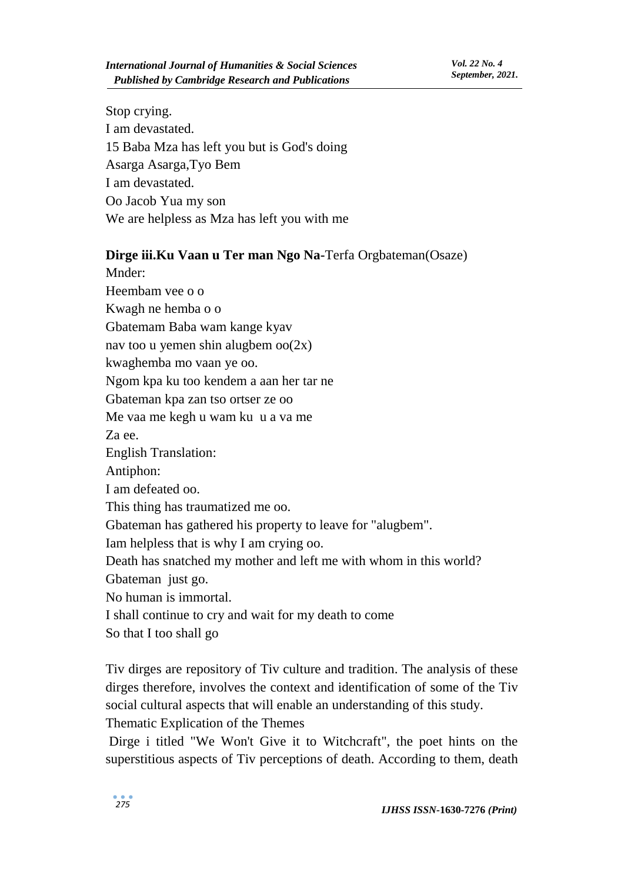Stop crying. I am devastated. 15 Baba Mza has left you but is God's doing Asarga Asarga,Tyo Bem I am devastated. Oo Jacob Yua my son We are helpless as Mza has left you with me

#### **Dirge iii.Ku Vaan u Ter man Ngo Na-**Terfa Orgbateman(Osaze)

Mnder: Heembam vee o o Kwagh ne hemba o o Gbatemam Baba wam kange kyav nav too u yemen shin alugbem  $oo(2x)$ kwaghemba mo vaan ye oo. Ngom kpa ku too kendem a aan her tar ne Gbateman kpa zan tso ortser ze oo Me vaa me kegh u wam ku u a va me Za ee. English Translation: Antiphon: I am defeated oo. This thing has traumatized me oo. Gbateman has gathered his property to leave for "alugbem". Iam helpless that is why I am crying oo. Death has snatched my mother and left me with whom in this world? Gbateman just go. No human is immortal. I shall continue to cry and wait for my death to come So that I too shall go

Tiv dirges are repository of Tiv culture and tradition. The analysis of these dirges therefore, involves the context and identification of some of the Tiv social cultural aspects that will enable an understanding of this study. Thematic Explication of the Themes

Dirge i titled "We Won't Give it to Witchcraft", the poet hints on the superstitious aspects of Tiv perceptions of death. According to them, death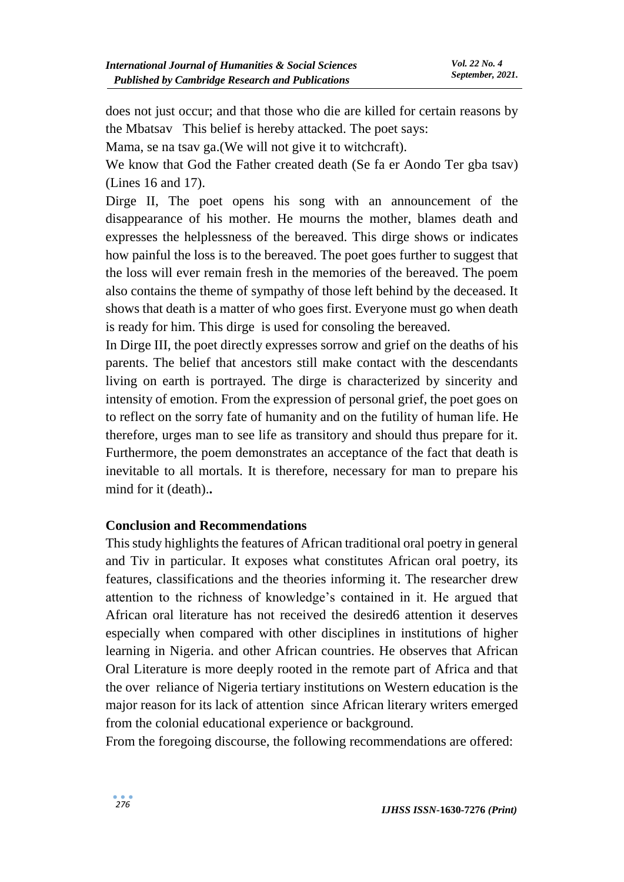does not just occur; and that those who die are killed for certain reasons by the Mbatsav This belief is hereby attacked. The poet says:

Mama, se na tsav ga.(We will not give it to witchcraft).

We know that God the Father created death (Se fa er Aondo Ter gba tsav) (Lines 16 and 17).

Dirge II, The poet opens his song with an announcement of the disappearance of his mother. He mourns the mother, blames death and expresses the helplessness of the bereaved. This dirge shows or indicates how painful the loss is to the bereaved. The poet goes further to suggest that the loss will ever remain fresh in the memories of the bereaved. The poem also contains the theme of sympathy of those left behind by the deceased. It shows that death is a matter of who goes first. Everyone must go when death is ready for him. This dirge is used for consoling the bereaved.

In Dirge III, the poet directly expresses sorrow and grief on the deaths of his parents. The belief that ancestors still make contact with the descendants living on earth is portrayed. The dirge is characterized by sincerity and intensity of emotion. From the expression of personal grief, the poet goes on to reflect on the sorry fate of humanity and on the futility of human life. He therefore, urges man to see life as transitory and should thus prepare for it. Furthermore, the poem demonstrates an acceptance of the fact that death is inevitable to all mortals. It is therefore, necessary for man to prepare his mind for it (death).**.**

#### **Conclusion and Recommendations**

This study highlights the features of African traditional oral poetry in general and Tiv in particular. It exposes what constitutes African oral poetry, its features, classifications and the theories informing it. The researcher drew attention to the richness of knowledge's contained in it. He argued that African oral literature has not received the desired6 attention it deserves especially when compared with other disciplines in institutions of higher learning in Nigeria. and other African countries. He observes that African Oral Literature is more deeply rooted in the remote part of Africa and that the over reliance of Nigeria tertiary institutions on Western education is the major reason for its lack of attention since African literary writers emerged from the colonial educational experience or background.

From the foregoing discourse, the following recommendations are offered: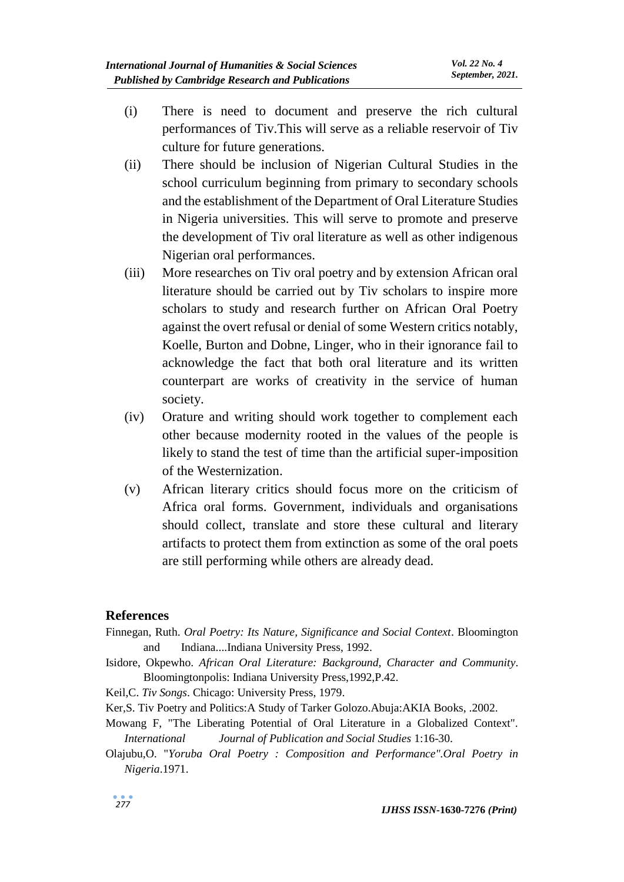- (i) There is need to document and preserve the rich cultural performances of Tiv.This will serve as a reliable reservoir of Tiv culture for future generations.
- (ii) There should be inclusion of Nigerian Cultural Studies in the school curriculum beginning from primary to secondary schools and the establishment of the Department of Oral Literature Studies in Nigeria universities. This will serve to promote and preserve the development of Tiv oral literature as well as other indigenous Nigerian oral performances.
- (iii) More researches on Tiv oral poetry and by extension African oral literature should be carried out by Tiv scholars to inspire more scholars to study and research further on African Oral Poetry against the overt refusal or denial of some Western critics notably, Koelle, Burton and Dobne, Linger, who in their ignorance fail to acknowledge the fact that both oral literature and its written counterpart are works of creativity in the service of human society.
- (iv) Orature and writing should work together to complement each other because modernity rooted in the values of the people is likely to stand the test of time than the artificial super-imposition of the Westernization.
- (v) African literary critics should focus more on the criticism of Africa oral forms. Government, individuals and organisations should collect, translate and store these cultural and literary artifacts to protect them from extinction as some of the oral poets are still performing while others are already dead.

#### **References**

- Finnegan, Ruth. *Oral Poetry: Its Nature, Significance and Social Context*. Bloomington and Indiana....Indiana University Press, 1992.
- Isidore, Okpewho. *African Oral Literature: Background, Character and Community*. Bloomingtonpolis: Indiana University Press,1992,P.42.

Keil,C. *Tiv Songs*. Chicago: University Press, 1979.

- Ker,S. Tiv Poetry and Politics:A Study of Tarker Golozo.Abuja:AKIA Books, .2002.
- Mowang F, "The Liberating Potential of Oral Literature in a Globalized Context". *International Journal of Publication and Social Studies* 1:16-30.
- Olajubu,O. "*Yoruba Oral Poetry : Composition and Performance".Oral Poetry in Nigeria*.1971.